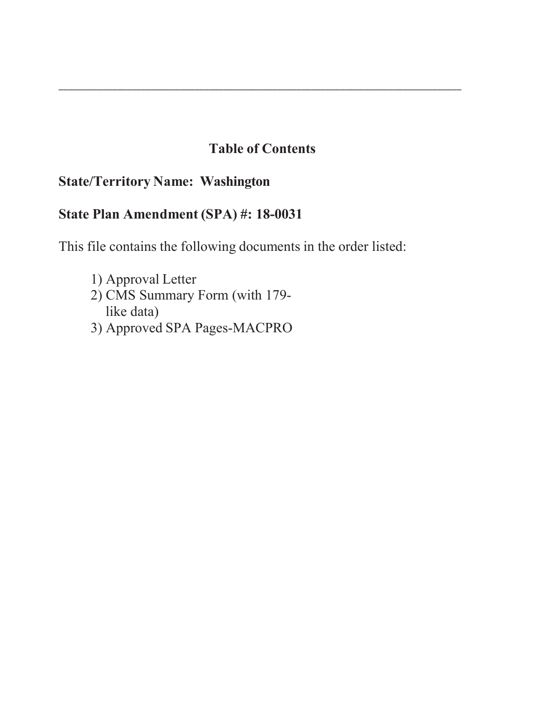# **Table of Contents**

\_\_\_\_\_\_\_\_\_\_\_\_\_\_\_\_\_\_\_\_\_\_\_\_\_\_\_\_\_\_\_\_\_\_\_\_\_\_\_\_\_\_\_\_\_\_\_\_\_\_\_\_\_\_\_\_\_\_\_\_\_\_\_\_\_\_\_\_\_\_\_\_\_\_\_\_\_\_\_\_\_\_\_

# **State/Territory Name: Washington**

# **State Plan Amendment (SPA) #: 18-0031**

This file contains the following documents in the order listed:

- 1) Approval Letter 2) CMS Summary Form (with 179like data)
- 3) Approved SPA Pages-MACPRO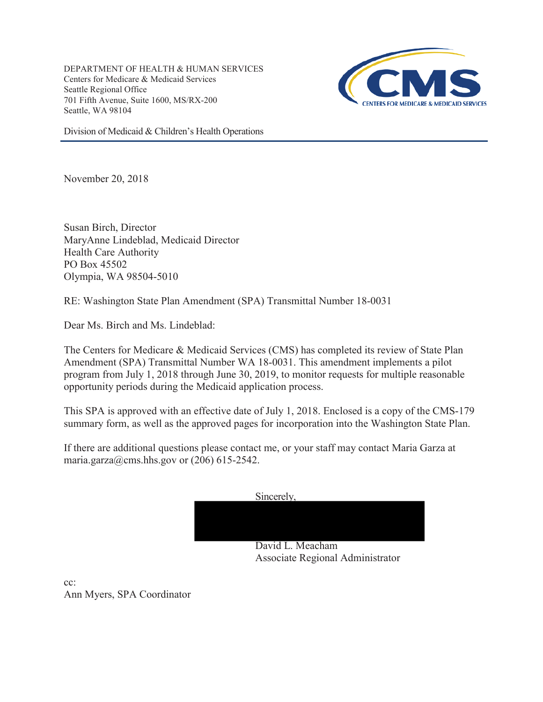DEPARTMENT OF HEALTH & HUMAN SERVICES Centers for Medicare & Medicaid Services Seattle Regional Office 701 Fifth Avenue, Suite 1600, MS/RX-200 Seattle, WA 98104



Division of Medicaid & Children's Health Operations

November 20, 2018

Susan Birch, Director MaryAnne Lindeblad, Medicaid Director Health Care Authority PO Box 45502 Olympia, WA 98504-5010

RE: Washington State Plan Amendment (SPA) Transmittal Number 18-0031

Dear Ms. Birch and Ms. Lindeblad:

The Centers for Medicare & Medicaid Services (CMS) has completed its review of State Plan Amendment (SPA) Transmittal Number WA 18-0031. This amendment implements a pilot program from July 1, 2018 through June 30, 2019, to monitor requests for multiple reasonable opportunity periods during the Medicaid application process.

This SPA is approved with an effective date of July 1, 2018. Enclosed is a copy of the CMS-179 summary form, as well as the approved pages for incorporation into the Washington State Plan.

If there are additional questions please contact me, or your staff may contact Maria Garza at maria.garza@cms.hhs.gov or  $(206)$  615-2542.



cc: Ann Myers, SPA Coordinator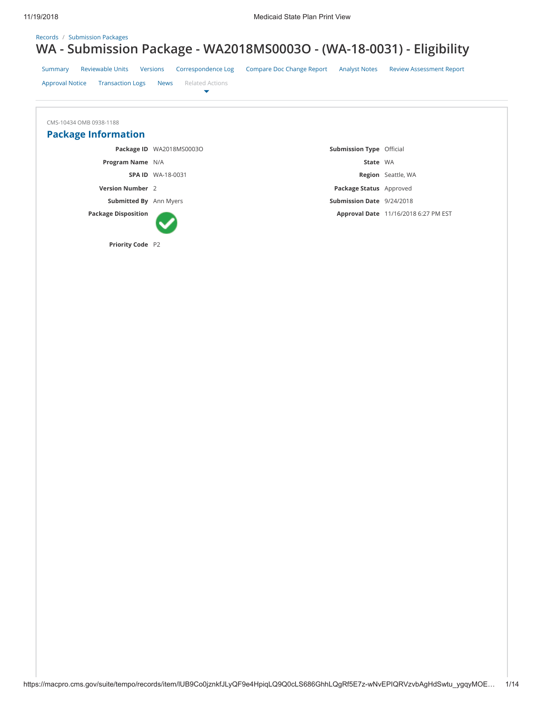## Records / Submission Packages **WA - Submission Package - WA2018MS0003O - (WA-18-0031) - Eligibility**

|                                                   | $\checkmark$                               |                                                          | -                                    |
|---------------------------------------------------|--------------------------------------------|----------------------------------------------------------|--------------------------------------|
| <b>Reviewable Units</b><br>Summary                | Correspondence Log<br>Versions             | <b>Compare Doc Change Report</b><br><b>Analyst Notes</b> | <b>Review Assessment Report</b>      |
| <b>Approval Notice</b><br><b>Transaction Logs</b> | <b>Related Actions</b><br><b>News</b><br>▼ |                                                          |                                      |
|                                                   |                                            |                                                          |                                      |
| CMS-10434 OMB 0938-1188                           |                                            |                                                          |                                      |
|                                                   |                                            |                                                          |                                      |
| <b>Package Information</b>                        |                                            |                                                          |                                      |
|                                                   | Package ID WA2018MS0003O                   | <b>Submission Type Official</b>                          |                                      |
| Program Name N/A                                  |                                            | State WA                                                 |                                      |
|                                                   | <b>SPA ID WA-18-0031</b>                   |                                                          | Region Seattle, WA                   |
| <b>Version Number</b> 2                           |                                            | Package Status Approved                                  |                                      |
| <b>Submitted By</b> Ann Myers                     |                                            | Submission Date 9/24/2018                                |                                      |
| <b>Package Disposition</b>                        |                                            |                                                          | Approval Date 11/16/2018 6:27 PM EST |
| Priority Code P2                                  |                                            |                                                          |                                      |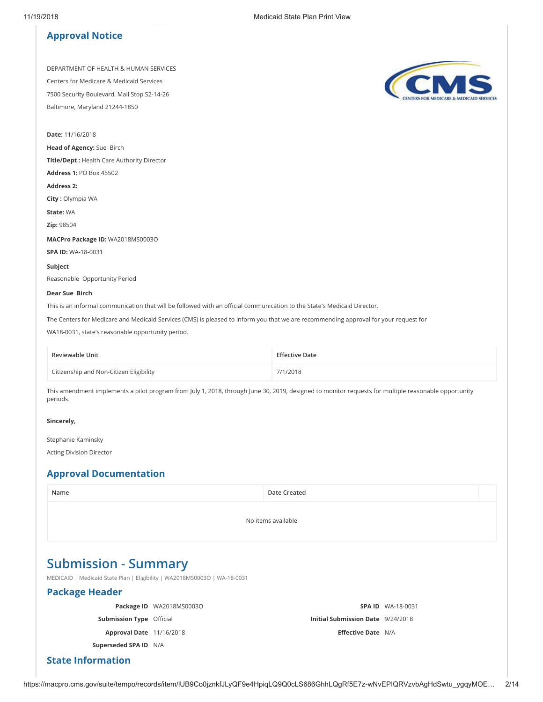#### **Approval Notice**

DEPARTMENT OF HEALTH & HUMAN SERVICES Centers for Medicare & Medicaid Services 7500 Security Boulevard, Mail Stop S2-14-26 Baltimore, Maryland 21244-1850

**Date:** 11/16/2018

**Head of Agency:** Sue Birch

**Title/Dept :** Health Care Authority Director

**Address 1:** PO Box 45502

**Address 2:** 

**City :** Olympia WA

**State:** WA

**Zip:** 98504

**MACPro Package ID:** WA2018MS0003O

**SPA ID:** WA-18-0031

**Subject** Reasonable Opportunity Period

#### **Dear Sue Birch**

This is an informal communication that will be followed with an official communication to the State's Medicaid Director.

The Centers for Medicare and Medicaid Services (CMS) is pleased to inform you that we are recommending approval for your request for

WA18-0031, state's reasonable opportunity period.

| Reviewable Unit                         | <b>Effective Date</b> |
|-----------------------------------------|-----------------------|
| Citizenship and Non-Citizen Eligibility | 7/1/2018              |

This amendment implements a pilot program from July 1, 2018, through June 30, 2019, designed to monitor requests for multiple reasonable opportunity periods.

#### **Sincerely,**

Stephanie Kaminsky

Acting Division Director

## **Approval Documentation**

| Name                                                                                                     |                          | Date Created                      |                          |  |
|----------------------------------------------------------------------------------------------------------|--------------------------|-----------------------------------|--------------------------|--|
|                                                                                                          |                          | No items available                |                          |  |
| <b>Submission - Summary</b><br>MEDICAID   Medicaid State Plan   Eligibility   WA2018MS0003O   WA-18-0031 |                          |                                   |                          |  |
| <b>Package Header</b>                                                                                    |                          |                                   |                          |  |
|                                                                                                          | Package ID WA2018MS0003O |                                   | <b>SPA ID WA-18-0031</b> |  |
| <b>Submission Type Official</b>                                                                          |                          | Initial Submission Date 9/24/2018 |                          |  |
| <b>Approval Date 11/16/2018</b>                                                                          |                          | <b>Effective Date N/A</b>         |                          |  |
| Superseded SPA ID N/A                                                                                    |                          |                                   |                          |  |
| <b>State Information</b>                                                                                 |                          |                                   |                          |  |

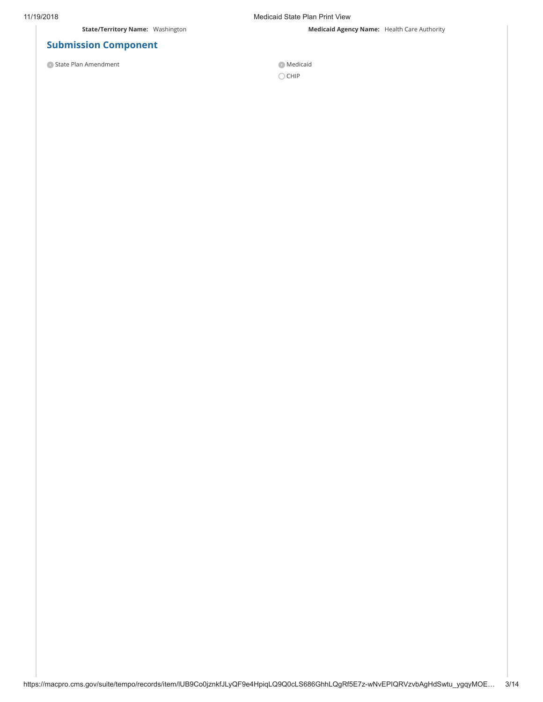11/19/2018 Medicaid State Plan Print View

**State/Territory Name:** Washington **Medicaid Agency Name:** Health Care Authority

## **Submission Component**

O State Plan Amendment Medicaid

 $\bigcirc$  CHIP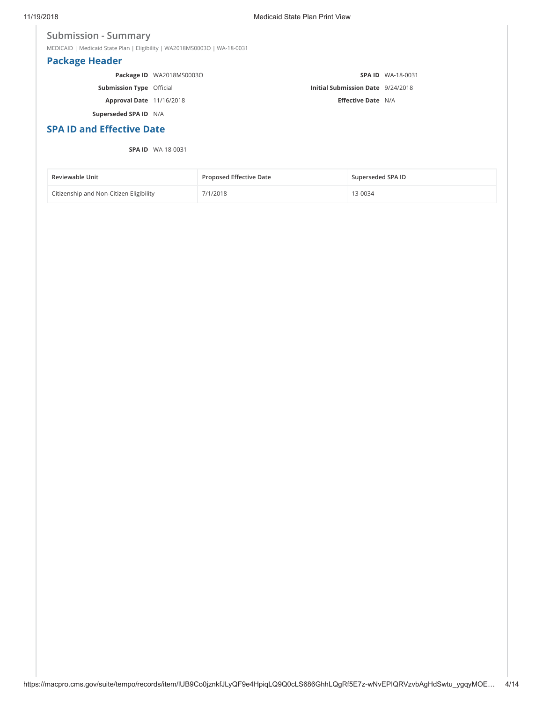#### **Submission - Summary**

MEDICAID | Medicaid State Plan | Eligibility | WA2018MS0003O | WA-18-0031

## **Package Header**

|                                 | Package ID WA2018MS0003O |                                   | <b>SPA ID WA-18-0031</b> |
|---------------------------------|--------------------------|-----------------------------------|--------------------------|
| <b>Submission Type</b> Official |                          | Initial Submission Date 9/24/2018 |                          |
| Approval Date 11/16/2018        |                          | <b>Effective Date N/A</b>         |                          |
| Superseded SPA ID N/A           |                          |                                   |                          |

**SPA ID and Effective Date** 

#### **SPA ID** WA-18-0031

| <b>Reviewable Unit</b>                  | <b>Proposed Effective Date</b> | Superseded SPA ID |
|-----------------------------------------|--------------------------------|-------------------|
| Citizenship and Non-Citizen Eligibility | 7/1/2018                       | 13-0034           |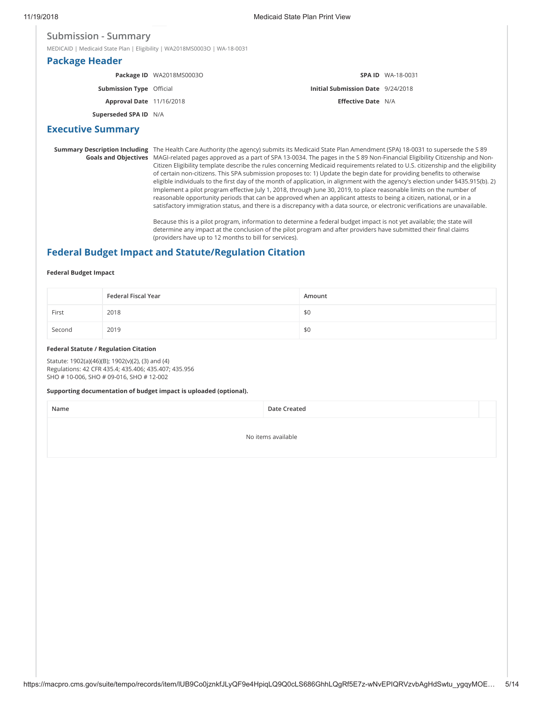#### **Submission - Summary**

MEDICAID | Medicaid State Plan | Eligibility | WA2018MS0003O | WA-18-0031

#### **Package Header**

|                                 | Package ID WA2018MS0003O |                                          | <b>SPA ID WA-18-0031</b> |
|---------------------------------|--------------------------|------------------------------------------|--------------------------|
| <b>Submission Type Official</b> |                          | <b>Initial Submission Date</b> 9/24/2018 |                          |
| Approval Date 11/16/2018        |                          | <b>Effective Date N/A</b>                |                          |
| Superseded SPA ID N/A           |                          |                                          |                          |

#### **Executive Summary**

**Summary Description Including** The Health Care Authority (the agency) submits its Medicaid State Plan Amendment (SPA) 18-0031 to supersede the S 89 **Goals and Objectives** MAGI-related pages approved as a part of SPA 13-0034. The pages in the S 89 Non-Financial Eligibility Citizenship and Non-Citizen Eligibility template describe the rules concerning Medicaid requirements related to U.S. citizenship and the eligibility of certain non-citizens. This SPA submission proposes to: 1) Update the begin date for providing benefits to otherwise eligible individuals to the first day of the month of application, in alignment with the agency's election under §435.915(b). 2) Implement a pilot program effective July 1, 2018, through June 30, 2019, to place reasonable limits on the number of reasonable opportunity periods that can be approved when an applicant attests to being a citizen, national, or in a satisfactory immigration status, and there is a discrepancy with a data source, or electronic verifications are unavailable.

> Because this is a pilot program, information to determine a federal budget impact is not yet available; the state will determine any impact at the conclusion of the pilot program and after providers have submitted their final claims (providers have up to 12 months to bill for services).

## **Federal Budget Impact and Statute/Regulation Citation**

#### **Federal Budget Impact**

|        | Federal Fiscal Year | Amount |
|--------|---------------------|--------|
| First  | 2018                | \$0    |
| Second | 2019                | \$0    |

#### **Federal Statute / Regulation Citation**

Statute: 1902(a)(46)(B); 1902(v)(2), (3) and (4) Regulations: 42 CFR 435.4; 435.406; 435.407; 435.956 SHO # 10-006, SHO # 09-016, SHO # 12-002

#### **Supporting documentation of budget impact is uploaded (optional).**

**Name Date Created**

No items available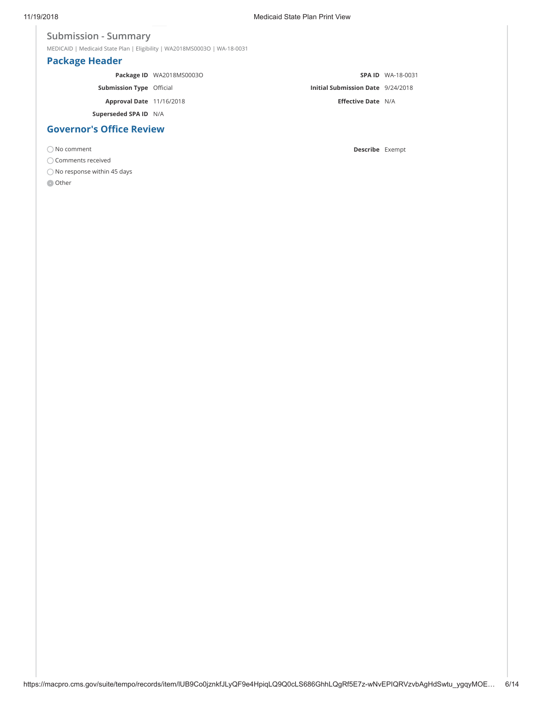## **Submission - Summary**

MEDICAID | Medicaid State Plan | Eligibility | WA2018MS0003O | WA-18-0031

## **Package Header**

|                                 | Package ID WA2018MS0003O |                                          | <b>SPA ID WA-18-0031</b> |
|---------------------------------|--------------------------|------------------------------------------|--------------------------|
| <b>Submission Type Official</b> |                          | <b>Initial Submission Date</b> 9/24/2018 |                          |
| Approval Date 11/16/2018        |                          | <b>Effective Date N/A</b>                |                          |
| Superseded SPA ID N/A           |                          |                                          |                          |
| <b>Governor's Office Review</b> |                          |                                          |                          |

No comment **Describe** Exempt

 $\bigcirc$  Comments received

 $\bigcirc$  No response within 45 days

**O** Other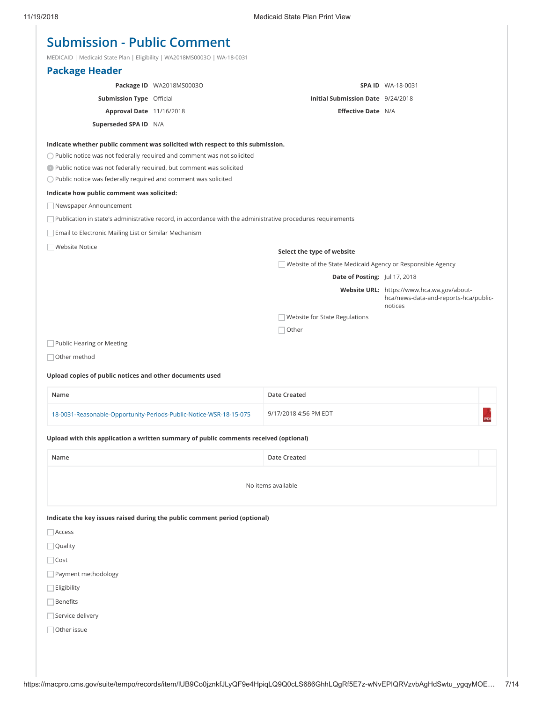| <b>Submission - Public Comment</b> |  |  |  |  |
|------------------------------------|--|--|--|--|
|------------------------------------|--|--|--|--|

MEDICAID | Medicaid State Plan | Eligibility | WA2018MS0003O | WA-18-0031

| $N$ $\sim$ $N$ $\sim$ $N$ $\sim$ $N$ $\sim$ $N$ $\sim$ $N$ $\sim$ $N$ $\sim$ $N$ $\sim$ $N$ $\sim$ $N$ $\sim$ $N$ $\sim$ $N$ $\sim$ $N$ $\sim$ $N$ $\sim$ $N$ $\sim$ $N$ $\sim$ $N$ $\sim$ $N$ $\sim$ $N$ $\sim$ $N$ $\sim$ $N$ $\sim$ $N$ $\sim$ $N$ $\sim$ $N$ $\sim$ $N$ |                                                                                                             |                                                            |                                                                                     |
|-----------------------------------------------------------------------------------------------------------------------------------------------------------------------------------------------------------------------------------------------------------------------------|-------------------------------------------------------------------------------------------------------------|------------------------------------------------------------|-------------------------------------------------------------------------------------|
| <b>Package Header</b>                                                                                                                                                                                                                                                       |                                                                                                             |                                                            |                                                                                     |
|                                                                                                                                                                                                                                                                             | Package ID WA2018MS0003O                                                                                    |                                                            | <b>SPA ID WA-18-0031</b>                                                            |
| <b>Submission Type Official</b>                                                                                                                                                                                                                                             |                                                                                                             | Initial Submission Date 9/24/2018                          |                                                                                     |
| Approval Date 11/16/2018                                                                                                                                                                                                                                                    |                                                                                                             | Effective Date N/A                                         |                                                                                     |
| Superseded SPA ID N/A                                                                                                                                                                                                                                                       |                                                                                                             |                                                            |                                                                                     |
|                                                                                                                                                                                                                                                                             | Indicate whether public comment was solicited with respect to this submission.                              |                                                            |                                                                                     |
|                                                                                                                                                                                                                                                                             | $\bigcirc$ Public notice was not federally required and comment was not solicited                           |                                                            |                                                                                     |
| • Public notice was not federally required, but comment was solicited                                                                                                                                                                                                       |                                                                                                             |                                                            |                                                                                     |
| $\bigcirc$ Public notice was federally required and comment was solicited                                                                                                                                                                                                   |                                                                                                             |                                                            |                                                                                     |
| Indicate how public comment was solicited:                                                                                                                                                                                                                                  |                                                                                                             |                                                            |                                                                                     |
| Newspaper Announcement                                                                                                                                                                                                                                                      |                                                                                                             |                                                            |                                                                                     |
|                                                                                                                                                                                                                                                                             | Publication in state's administrative record, in accordance with the administrative procedures requirements |                                                            |                                                                                     |
| Email to Electronic Mailing List or Similar Mechanism                                                                                                                                                                                                                       |                                                                                                             |                                                            |                                                                                     |
| <b>Website Notice</b>                                                                                                                                                                                                                                                       |                                                                                                             | Select the type of website                                 |                                                                                     |
|                                                                                                                                                                                                                                                                             |                                                                                                             | Website of the State Medicaid Agency or Responsible Agency |                                                                                     |
|                                                                                                                                                                                                                                                                             |                                                                                                             | Date of Posting: Jul 17, 2018                              |                                                                                     |
|                                                                                                                                                                                                                                                                             |                                                                                                             |                                                            | Website URL: https://www.hca.wa.gov/about-<br>hca/news-data-and-reports-hca/public- |
|                                                                                                                                                                                                                                                                             |                                                                                                             |                                                            | notices                                                                             |
|                                                                                                                                                                                                                                                                             |                                                                                                             | Website for State Regulations                              |                                                                                     |
| Public Hearing or Meeting                                                                                                                                                                                                                                                   |                                                                                                             | $\Box$ Other                                               |                                                                                     |
|                                                                                                                                                                                                                                                                             |                                                                                                             |                                                            |                                                                                     |
| $\Box$ Other method                                                                                                                                                                                                                                                         |                                                                                                             |                                                            |                                                                                     |
| Upload copies of public notices and other documents used                                                                                                                                                                                                                    |                                                                                                             |                                                            |                                                                                     |
| Name                                                                                                                                                                                                                                                                        |                                                                                                             | Date Created                                               |                                                                                     |
|                                                                                                                                                                                                                                                                             | 18-0031-Reasonable-Opportunity-Periods-Public-Notice-WSR-18-15-075                                          | 9/17/2018 4:56 PM EDT                                      | PDF                                                                                 |
|                                                                                                                                                                                                                                                                             | Upload with this application a written summary of public comments received (optional)                       |                                                            |                                                                                     |
| Name                                                                                                                                                                                                                                                                        |                                                                                                             | Date Created                                               |                                                                                     |
|                                                                                                                                                                                                                                                                             |                                                                                                             | No items available                                         |                                                                                     |
|                                                                                                                                                                                                                                                                             | Indicate the key issues raised during the public comment period (optional)                                  |                                                            |                                                                                     |
| $\Box$ Access                                                                                                                                                                                                                                                               |                                                                                                             |                                                            |                                                                                     |
| $\Box$ Quality                                                                                                                                                                                                                                                              |                                                                                                             |                                                            |                                                                                     |
| $\Box$ Cost                                                                                                                                                                                                                                                                 |                                                                                                             |                                                            |                                                                                     |
| Payment methodology                                                                                                                                                                                                                                                         |                                                                                                             |                                                            |                                                                                     |
| $\Box$ Eligibility                                                                                                                                                                                                                                                          |                                                                                                             |                                                            |                                                                                     |
| Benefits                                                                                                                                                                                                                                                                    |                                                                                                             |                                                            |                                                                                     |
| Service delivery                                                                                                                                                                                                                                                            |                                                                                                             |                                                            |                                                                                     |
| Other issue                                                                                                                                                                                                                                                                 |                                                                                                             |                                                            |                                                                                     |
|                                                                                                                                                                                                                                                                             |                                                                                                             |                                                            |                                                                                     |
|                                                                                                                                                                                                                                                                             |                                                                                                             |                                                            |                                                                                     |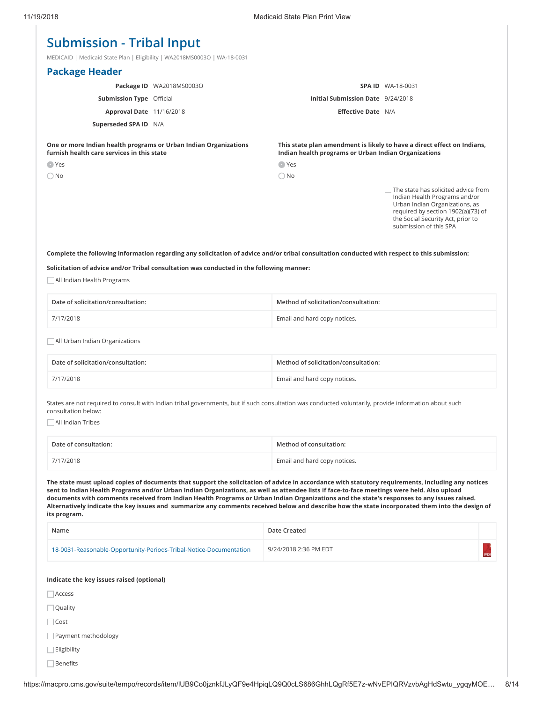# **Submission - Tribal Input**

MEDICAID | Medicaid State Plan | Eligibility | WA2018MS0003O | WA-18-0031

| <b>Package Header</b>                                                                                          |                          |                                                      |                                                                                                                                                                                                             |
|----------------------------------------------------------------------------------------------------------------|--------------------------|------------------------------------------------------|-------------------------------------------------------------------------------------------------------------------------------------------------------------------------------------------------------------|
|                                                                                                                | Package ID WA2018MS0003O |                                                      | <b>SPA ID WA-18-0031</b>                                                                                                                                                                                    |
| <b>Submission Type Official</b>                                                                                |                          | Initial Submission Date 9/24/2018                    |                                                                                                                                                                                                             |
| <b>Approval Date 11/16/2018</b>                                                                                |                          | <b>Effective Date N/A</b>                            |                                                                                                                                                                                                             |
| Superseded SPA ID N/A                                                                                          |                          |                                                      |                                                                                                                                                                                                             |
| One or more Indian health programs or Urban Indian Organizations<br>furnish health care services in this state |                          | Indian health programs or Urban Indian Organizations | This state plan amendment is likely to have a direct effect on Indians,                                                                                                                                     |
| $\bullet$ Yes                                                                                                  |                          | O Yes                                                |                                                                                                                                                                                                             |
| $\bigcirc$ No                                                                                                  |                          | $\bigcirc$ No                                        |                                                                                                                                                                                                             |
|                                                                                                                |                          |                                                      | The state has solicited advice from<br>Indian Health Programs and/or<br>Urban Indian Organizations, as<br>required by section 1902(a)(73) of<br>the Social Security Act, prior to<br>submission of this SPA |

**Complete the following information regarding any solicitation of advice and/or tribal consultation conducted with respect to this submission:**

**Solicitation of advice and/or Tribal consultation was conducted in the following manner:**

 $\Box$  All Indian Health Programs

| Date of solicitation/consultation:    | Method of solicitation/consultation: |  |
|---------------------------------------|--------------------------------------|--|
| 7/17/2018                             | Email and hard copy notices.         |  |
| $\Box$ All Urban Indian Organizations |                                      |  |
| Date of solicitation/consultation:    | Method of solicitation/consultation: |  |

| 7/17/2018 | Email and hard copy notices. |
|-----------|------------------------------|
|           |                              |

States are not required to consult with Indian tribal governments, but if such consultation was conducted voluntarily, provide information about such consultation below:

All Indian Tribes

| Date of consultation: | Method of consultation:      |
|-----------------------|------------------------------|
| 7/17/2018             | Email and hard copy notices. |

**The state must upload copies of documents that support the solicitation of advice in accordance with statutory requirements, including any notices sent to Indian Health Programs and/or Urban Indian Organizations, as well as attendee lists if face-to-face meetings were held. Also upload documents with comments received from Indian Health Programs or Urban Indian Organizations and the state's responses to any issues raised. Alternatively indicate the key issues and summarize any comments received below and describe how the state incorporated them into the design of its program.**

| Name                                                               | <b>Date Created</b>   |           |
|--------------------------------------------------------------------|-----------------------|-----------|
| 18-0031-Reasonable-Opportunity-Periods-Tribal-Notice-Documentation | 9/24/2018 2:36 PM EDT | <b>PD</b> |
| Indicate the key issues raised (optional)                          |                       |           |
| $\Box$ Access                                                      |                       |           |
| $\Box$ Quality                                                     |                       |           |
| $\Box$ Cost                                                        |                       |           |
| Payment methodology                                                |                       |           |
| $\Box$ Eligibility                                                 |                       |           |
| $\sqcap$ Benefits                                                  |                       |           |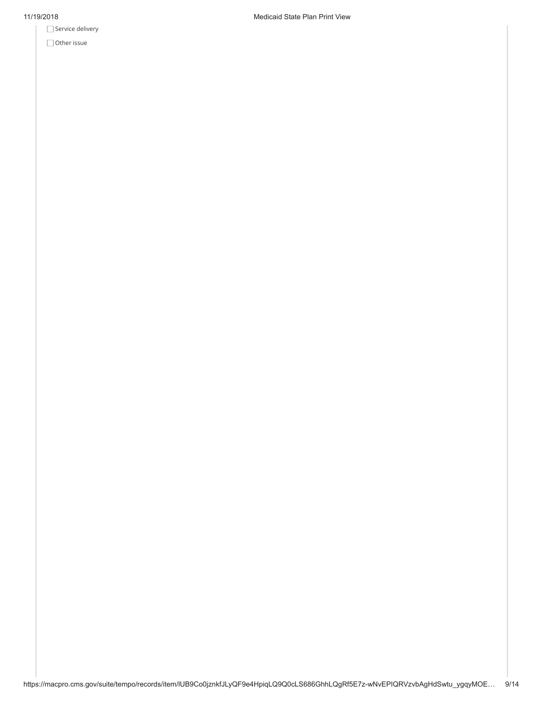Service delivery

Other issue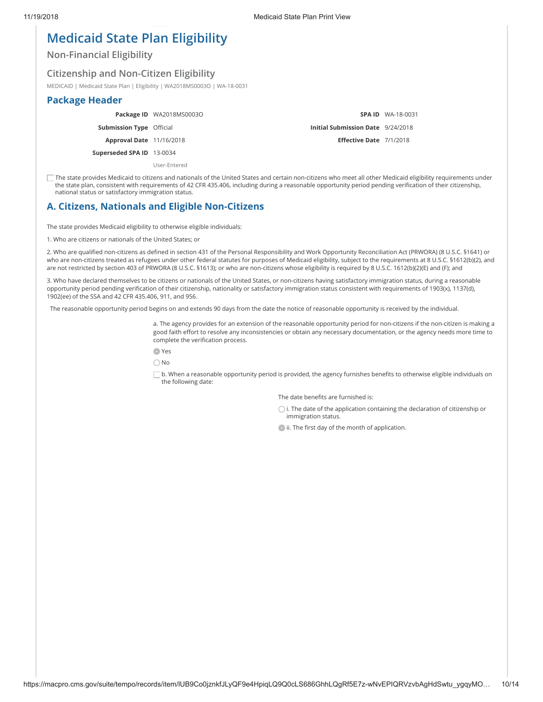# **Medicaid State Plan Eligibility**

**Non-Financial Eligibility**

## **Citizenship and Non-Citizen Eligibility**

MEDICAID | Medicaid State Plan | Eligibility | WA2018MS0003O | WA-18-0031

#### **Package Header**

**Package ID** WA2018MS0003O

**Submission Type** Official

**Approval Date** 11/16/2018

**Superseded SPA ID** 13-0034

User-Entered

**SPA ID** WA-18-0031 **Initial Submission Date** 9/24/2018 **Eſective Date** 7/1/2018

The state provides Medicaid to citizens and nationals of the United States and certain non-citizens who meet all other Medicaid eligibility requirements under the state plan, consistent with requirements of 42 CFR 435.406, including during a reasonable opportunity period pending verification of their citizenship, national status or satisfactory immigration status.

## **A. Citizens, Nationals and Eligible Non-Citizens**

The state provides Medicaid eligibility to otherwise eligible individuals:

1. Who are citizens or nationals of the United States; or

2. Who are qualified non-citizens as defined in section 431 of the Personal Responsibility and Work Opportunity Reconciliation Act (PRWORA) (8 U.S.C. §1641) or who are non-citizens treated as refugees under other federal statutes for purposes of Medicaid eligibility, subject to the requirements at 8 U.S.C. §1612(b)(2), and are not restricted by section 403 of PRWORA (8 U.S.C. §1613); or who are non-citizens whose eligibility is required by 8 U.S.C. 1612(b)(2)(E) and (F); and

3. Who have declared themselves to be citizens or nationals of the United States, or non-citizens having satisfactory immigration status, during a reasonable opportunity period pending verification of their citizenship, nationality or satisfactory immigration status consistent with requirements of 1903(x), 1137(d), 1902(ee) of the SSA and 42 CFR 435.406, 911, and 956.

The reasonable opportunity period begins on and extends 90 days from the date the notice of reasonable opportunity is received by the individual.

a. The agency provides for an extension of the reasonable opportunity period for non-citizens if the non-citizen is making a good faith effort to resolve any inconsistencies or obtain any necessary documentation, or the agency needs more time to complete the verification process.

Yes

No

 $\Box$  b. When a reasonable opportunity period is provided, the agency furnishes benefits to otherwise eligible individuals on the following date:

The date benefits are furnished is:

 $\bigcirc$  i. The date of the application containing the declaration of citizenship or immigration status.

ii. The first day of the month of application.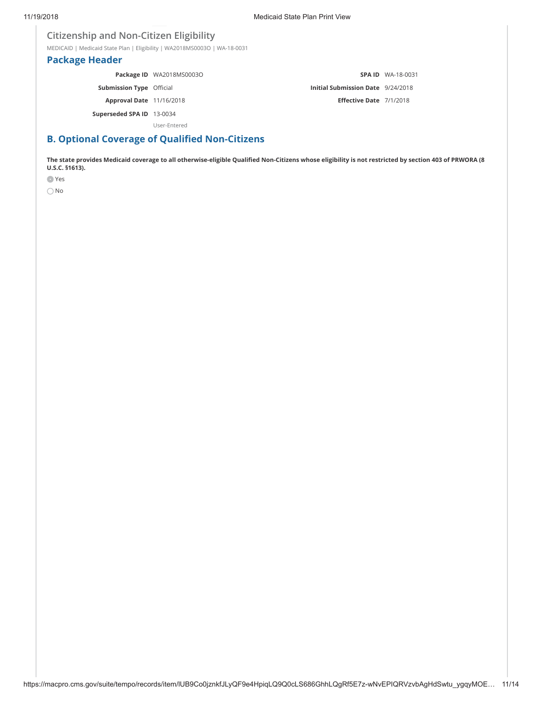## **Citizenship and Non-Citizen Eligibility**

MEDICAID | Medicaid State Plan | Eligibility | WA2018MS0003O | WA-18-0031

## **Package Header**

**Package ID** WA2018MS0003O **Submission Type** Official **Approval Date** 11/16/2018 **Superseded SPA ID** 13-0034 **SPA ID** WA-18-0031 **Initial Submission Date** 9/24/2018 **Eſective Date** 7/1/2018

User-Entered

## **B. Optional Coverage of Qualiţed Non-Citizens**

**The state provides Medicaid coverage to all otherwise-eligible Qualiţed Non-Citizens whose eligibility is not restricted by section 403 of PRWORA (8 U.S.C. §1613).**

Yes

 $\bigcirc$  No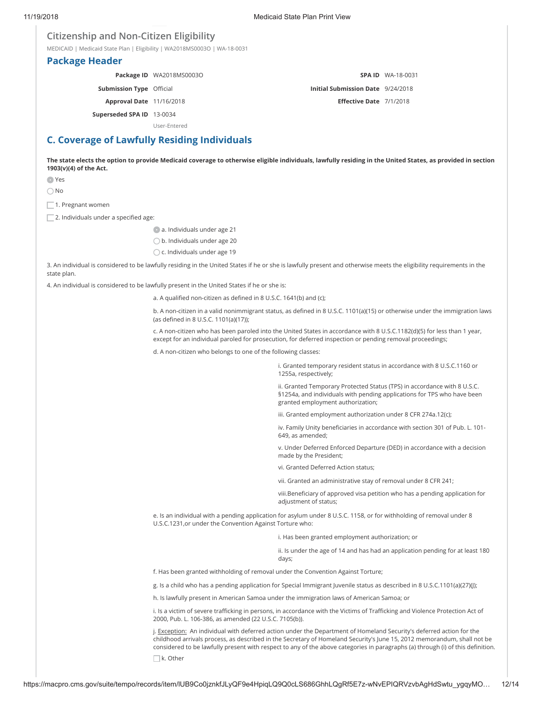#### **Citizenship and Non-Citizen Eligibility**

MEDICAID | Medicaid State Plan | Eligibility | WA2018MS0003O | WA-18-0031

#### **Package Header**

**Package ID** WA2018MS0003O

**Submission Type** Official

**Approval Date** 11/16/2018

#### **SPA ID** WA-18-0031

**Initial Submission Date** 9/24/2018

**Eſective Date** 7/1/2018

**Superseded SPA ID** 13-0034

User-Entered

## **C. Coverage of Lawfully Residing Individuals**

**The state elects the option to provide Medicaid coverage to otherwise eligible individuals, lawfully residing in the United States, as provided in section 1903(v)(4) of the Act.**

Yes

No

 $\Box$  1. Pregnant women

 $\Box$  2. Individuals under a specified age:

a. Individuals under age 21

b. Individuals under age 20

 $\bigcirc$  c. Individuals under age 19

3. An individual is considered to be lawfully residing in the United States if he or she is lawfully present and otherwise meets the eligibility requirements in the state plan.

4. An individual is considered to be lawfully present in the United States if he or she is:

a. A qualified non-citizen as defined in 8 U.S.C. 1641(b) and (c);

b. A non-citizen in a valid nonimmigrant status, as defined in 8 U.S.C. 1101(a)(15) or otherwise under the immigration laws (as defined in 8 U.S.C. 1101(a)(17));

c. A non-citizen who has been paroled into the United States in accordance with 8 U.S.C.1182(d)(5) for less than 1 year, except for an individual paroled for prosecution, for deferred inspection or pending removal proceedings;

d. A non-citizen who belongs to one of the following classes:

i. Granted temporary resident status in accordance with 8 U.S.C.1160 or 1255a, respectively;

ii. Granted Temporary Protected Status (TPS) in accordance with 8 U.S.C. §1254a, and individuals with pending applications for TPS who have been granted employment authorization;

iii. Granted employment authorization under 8 CFR 274a.12(c);

iv. Family Unity beneficiaries in accordance with section 301 of Pub. L. 101-649, as amended;

v. Under Deferred Enforced Departure (DED) in accordance with a decision made by the President;

vi. Granted Deferred Action status;

vii. Granted an administrative stay of removal under 8 CFR 241;

viii.Beneficiary of approved visa petition who has a pending application for adjustment of status;

e. Is an individual with a pending application for asylum under 8 U.S.C. 1158, or for withholding of removal under 8 U.S.C.1231,or under the Convention Against Torture who:

i. Has been granted employment authorization; or

ii. Is under the age of 14 and has had an application pending for at least 180 days;

f. Has been granted withholding of removal under the Convention Against Torture;

g. Is a child who has a pending application for Special Immigrant Juvenile status as described in 8 U.S.C.1101(a)(27)(J);

h. Is lawfully present in American Samoa under the immigration laws of American Samoa; or

i. Is a victim of severe trafficking in persons, in accordance with the Victims of Trafficking and Violence Protection Act of 2000, Pub. L. 106-386, as amended (22 U.S.C. 7105(b)).

j. Exception: An individual with deferred action under the Department of Homeland Security's deferred action for the childhood arrivals process, as described in the Secretary of Homeland Security's June 15, 2012 memorandum, shall not be considered to be lawfully present with respect to any of the above categories in paragraphs (a) through (i) of this definition.  $\Box$ k. Other

https://macpro.cms.gov/suite/tempo/records/item/lUB9Co0jznkfJLyQF9e4HpiqLQ9Q0cLS686GhhLQgRf5E7z-wNvEPIQRVzvbAgHdSwtu\_ygqyMO… 12/14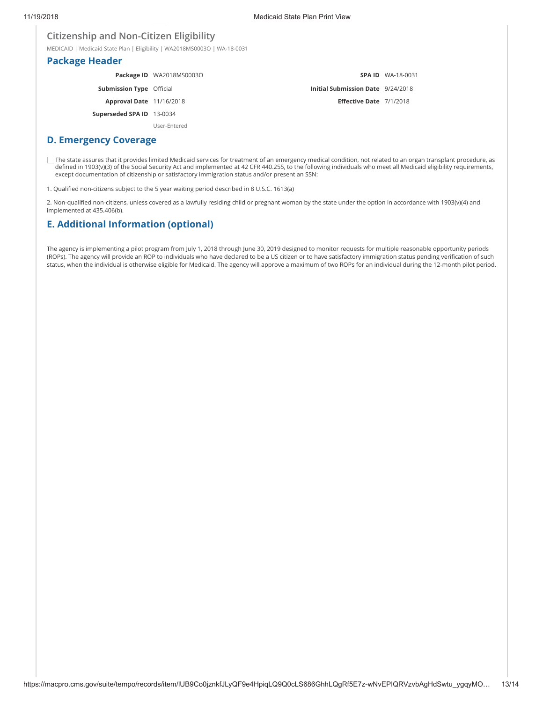#### **Citizenship and Non-Citizen Eligibility**

MEDICAID | Medicaid State Plan | Eligibility | WA2018MS0003O | WA-18-0031

#### **Package Header**

|                                 | Package ID WA2018MS0003O |                                          | <b>SPA ID WA-18-0031</b> |
|---------------------------------|--------------------------|------------------------------------------|--------------------------|
| <b>Submission Type Official</b> |                          | <b>Initial Submission Date</b> 9/24/2018 |                          |
| <b>Approval Date</b> 11/16/2018 |                          | Effective Date 7/1/2018                  |                          |
| Superseded SPA ID 13-0034       |                          |                                          |                          |
|                                 | User-Entered             |                                          |                          |

#### **D. Emergency Coverage**

The state assures that it provides limited Medicaid services for treatment of an emergency medical condition, not related to an organ transplant procedure, as defined in 1903(v)(3) of the Social Security Act and implemented at 42 CFR 440.255, to the following individuals who meet all Medicaid eligibility requirements, except documentation of citizenship or satisfactory immigration status and/or present an SSN:

1. Qualified non-citizens subject to the 5 year waiting period described in 8 U.S.C. 1613(a)

2. Non-qualified non-citizens, unless covered as a lawfully residing child or pregnant woman by the state under the option in accordance with 1903(v)(4) and implemented at 435.406(b).

## **E. Additional Information (optional)**

The agency is implementing a pilot program from July 1, 2018 through June 30, 2019 designed to monitor requests for multiple reasonable opportunity periods (ROPs). The agency will provide an ROP to individuals who have declared to be a US citizen or to have satisfactory immigration status pending verification of such status, when the individual is otherwise eligible for Medicaid. The agency will approve a maximum of two ROPs for an individual during the 12-month pilot period.